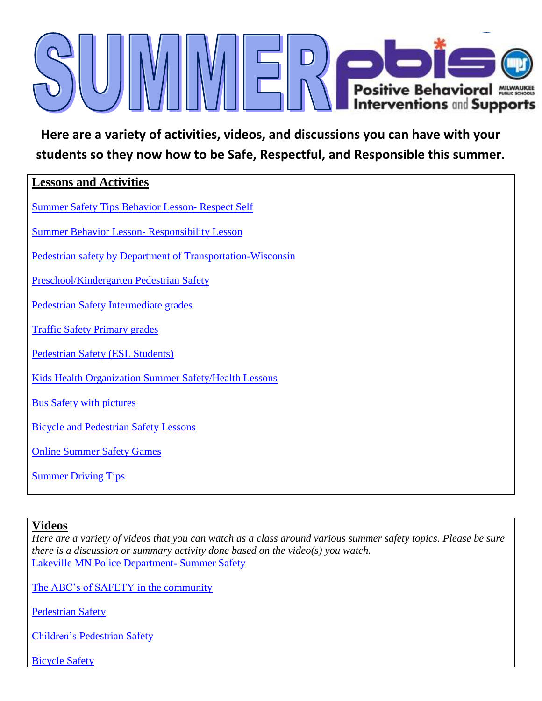

**Here are a variety of activities, videos, and discussions you can have with your students so they now how to be Safe, Respectful, and Responsible this summer.**

## **Lessons and Activities**

[Su](http://unitywestelementary.com/cool%20tools%20and%20celebrations/summersafety%5B1%5D.pdf)mmer Safety Tips Behavior Lesson- Respect Self

[Summer](http://www.wisconsinpbisnetwork.org/assets/files/resources/1292960560_cool_tool_responsibility_in_community.pdf) Behavior Lesson- Responsibility Lesson

[Pedestrian safety by Department of Transportation-Wisconsin](http://www.dot.wisconsin.gov/safety/kids/pedsafe.htm)

[Preschool/Kindergarten Pedestrian Safety](http://city.milwaukee.gov/ImageLibrary/Groups/mpdAuthors/SafetyDivision/WATCHFULWILLIEGuidePSD-62.pdf)

[Pedestrian Safety Intermediate grades](http://www.safekids.org/sites/default/files/documents/pedestrian_safety_lesson_plan.pdf)

[Traffic Safety Primary grades](http://www.tucsonaz.gov/files/transportation/Traffic%20&%20Ped%20Safety.pdf)

[Pedestrian Safety \(ESL Students\)](http://www.nhtsa.gov/staticfiles/nti/pdf/ped-s.pdf)

[Kids Health Organization Summer Safety/Health Lessons](http://classroom.kidshealth.org/classroom/prekto2/personal/fitness/primary_summerplans.pdf)

[Bus Safety with pictures](http://www.safeny.ny.gov/Kids/kid-schl.htm#top)

[Bicycle and Pedestrian Safety Lessons](http://www.activetrans.org/sites/default/files/edu/PE-BP-Safety-excerpt.pdf)

[Online Summer Safety Games](http://www.itre.ncsu.edu/GHSP/SchoolBusSafety/GamesMenu.html)

[Summer Driving Tips](http://www.safetyinsurance.com/pdf/summer_tips.pdf)

## **Videos**

*Here are a variety of videos that you can watch as a class around various summer safety topics. Please be sure there is a discussion or summary activity done based on the video(s) you watch.*  [Lakeville MN Police Department-](http://youtu.be/4U1HKlKVYiM) Summer Safety

[The ABC's of SAFETY](http://youtu.be/Z33Uao4qows) in the community

[Pedestrian Safety](http://youtu.be/bO0qf1_W5EE)

[Children's Pedestrian Safety](http://www.youtube.com/watch?v=DAo5NyC_55M)

[Bicycle Safety](http://youtu.be/EXbdmVJOuzc)